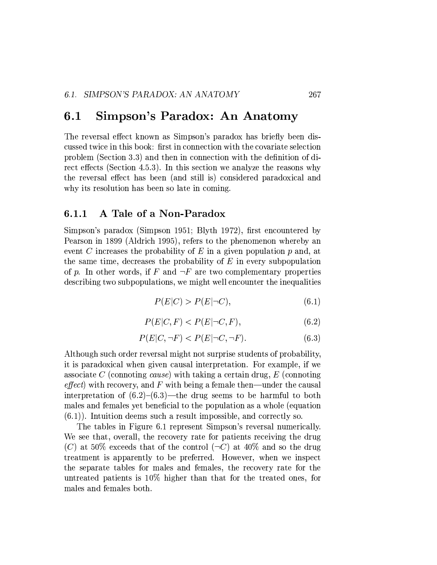#### Simpson's Paradox: An Anatomy  $\boldsymbol{6.1}$

The reversal effect known as Simpson's paradox has briefly been discussed twice in this book: first in connection with the covariate selection problem (Section 3.3) and then in connection with the definition of direct effects (Section 4.5.3). In this section we analyze the reasons why the reversal effect has been (and still is) considered paradoxical and why its resolution has been so late in coming.

#### A Tale of a Non-Paradox  $6.1.1$

Simpson's paradox (Simpson 1951; Blyth 1972), first encountered by Pearson in 1899 (Aldrich 1995), refers to the phenomenon whereby an event C increases the probability of E in a given population  $p$  and, at the same time, decreases the probability of  $E$  in every subpopulation of p. In other words, if F and  $\neg F$  are two complementary properties describing two subpopulations, we might well encounter the inequalities

$$
P(E|C) > P(E|\neg C),\tag{6.1}
$$

$$
P(E|C, F) < P(E|\neg C, F),\tag{6.2}
$$

$$
P(E|C, \neg F) < P(E|\neg C, \neg F). \tag{6.3}
$$

Although such order reversal might not surprise students of probability, it is paradoxical when given causal interpretation. For example, if we associate C (connoting cause) with taking a certain drug,  $E$  (connoting *effect*) with recovery, and F with being a female then—under the causal interpretation of  $(6.2)$ - $(6.3)$ -the drug seems to be harmful to both males and females yet beneficial to the population as a whole (equation  $(6.1)$ ). Intuition deems such a result impossible, and correctly so.

The tables in Figure 6.1 represent Simpson's reversal numerically. We see that, overall, the recovery rate for patients receiving the drug (C) at 50% exceeds that of the control  $(\neg C)$  at 40% and so the drug treatment is apparently to be preferred. However, when we inspect the separate tables for males and females, the recovery rate for the untreated patients is 10% higher than that for the treated ones, for males and females both.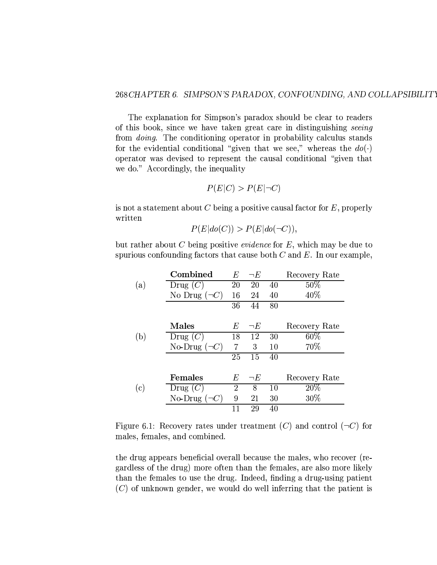The explanation for Simpson's paradox should be clear to readers of this book, since we have taken great care in distinguishing seeing from *doing*. The conditioning operator in probability calculus stands for the evidential conditional "given that we see," whereas the  $do(\cdot)$ operator was devised to represent the causal conditional "given that we do." Accordingly, the inequality

$$
P(E|C) > P(E|\neg C)
$$

is not a statement about  $C$  being a positive causal factor for  $E$ , properly written

 $P(E|do(C)) > P(E|do(\neg C)),$ 

but rather about  $C$  being positive *evidence* for  $E$ , which may be due to spurious confounding factors that cause both  $C$  and  $E$ . In our example,

|     | Combined            | E              | $\neg E$ |    | Recovery Rate |
|-----|---------------------|----------------|----------|----|---------------|
| (a) | $\text{Drug } (C)$  | 20             | 20       | 40 | $50\%$        |
|     | No Drug $(\neg C)$  | 16             | 24       | 40 | 40\%          |
|     |                     | 36             | 44       | 80 |               |
|     |                     |                |          |    |               |
|     | Males               | E              | $\neg E$ |    | Recovery Rate |
| (b) | $\text{ Drug}(C)$   | 18             | 12       | 30 | $60\%$        |
|     | No-Drug $(\neg C)$  | 7              | 3        | 10 | 70%           |
|     |                     | 25             | 15       | 40 |               |
|     |                     |                |          |    |               |
|     | <b>Females</b>      | E              | $\neg E$ |    | Recovery Rate |
| (c) | $\text{ Drug } (C)$ | $\overline{2}$ | 8        | 10 | $20\%$        |
|     | No-Drug $(\neg C)$  | 9              | 21       | 30 | $30\%$        |
|     |                     | 11             | 29       | 40 |               |

Figure 6.1: Recovery rates under treatment (C) and control  $(\neg C)$  for males, females, and combined.

the drug appears beneficial overall because the males, who recover (regardless of the drug) more often than the females, are also more likely than the females to use the drug. Indeed, finding a drug-using patient  $(C)$  of unknown gender, we would do well inferring that the patient is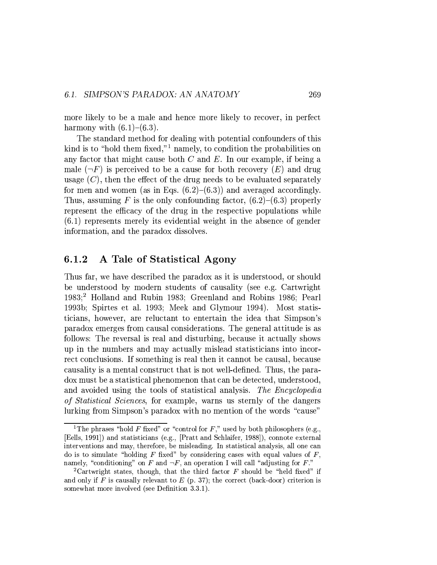more likely to be a male and hence more likely to recover, in perfect harmony with  $(6.1)$ – $(6.3)$ .

The standard method for dealing with potential confounders of this kind is to "hold them fixed,"<sup>1</sup> namely, to condition the probabilities on any factor that might cause both  $C$  and  $E$ . In our example, if being a male  $(\neg F)$  is perceived to be a cause for both recovery  $(E)$  and drug usage  $(C)$ , then the effect of the drug needs to be evaluated separately for men and women (as in Eqs.  $(6.2)$ – $(6.3)$ ) and averaged accordingly. Thus, assuming F is the only confounding factor,  $(6.2)$ – $(6.3)$  properly represent the efficacy of the drug in the respective populations while  $(6.1)$  represents merely its evidential weight in the absence of gender information, and the paradox dissolves.

#### $6.1.2$ A Tale of Statistical Agony

Thus far, we have described the paradox as it is understood, or should be understood by modern students of causality (see e.g. Cartwright 1983;<sup>2</sup> Holland and Rubin 1983; Greenland and Robins 1986; Pearl 1993b; Spirtes et al. 1993; Meek and Glymour 1994). Most statisticians, however, are reluctant to entertain the idea that Simpson's paradox emerges from causal considerations. The general attitude is as follows: The reversal is real and disturbing, because it actually shows up in the numbers and may actually mislead statisticians into incorrect conclusions. If something is real then it cannot be causal, because causality is a mental construct that is not well-defined. Thus, the paradox must be a statistical phenomenon that can be detected, understood, and avoided using the tools of statistical analysis. The Encyclopedia of Statistical Sciences, for example, warns us sternly of the dangers lurking from Simpson's paradox with no mention of the words "cause"

<sup>&</sup>lt;sup>1</sup>The phrases "hold F fixed" or "control for F," used by both philosophers (e.g., [Eells, 1991]) and statisticians (e.g., [Pratt and Schlaifer, 1988]), connote external interventions and may, therefore, be misleading. In statistical analysis, all one can do is to simulate "holding  $F$  fixed" by considering cases with equal values of  $F$ , namely, "conditioning" on F and  $\neg F$ , an operation I will call "adjusting for F."

<sup>&</sup>lt;sup>2</sup>Cartwright states, though, that the third factor F should be "held fixed" if and only if F is causally relevant to E (p. 37); the correct (back-door) criterion is somewhat more involved (see Definition 3.3.1).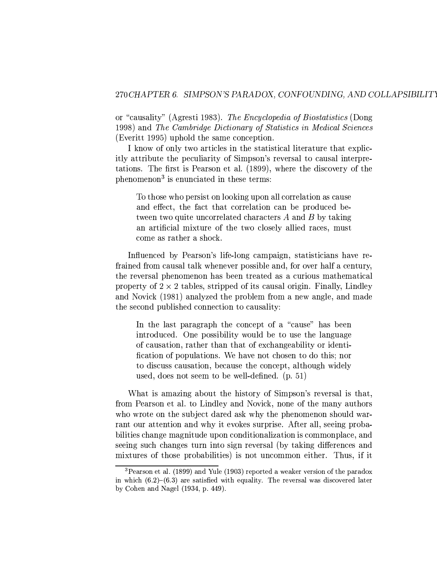or "causality" (Agresti 1983). The Encyclopedia of Biostatistics (Dong 1998) and The Cambridge Dictionary of Statistics in Medical Sciences (Everitt 1995) uphold the same conception.

I know of only two articles in the statistical literature that explicitly attribute the peculiarity of Simpson's reversal to causal interpretations. The first is Pearson et al. (1899), where the discovery of the phenomenon<sup>3</sup> is enunciated in these terms:

To those who persist on looking upon all correlation as cause and effect, the fact that correlation can be produced between two quite uncorrelated characters  $A$  and  $B$  by taking an artificial mixture of the two closely allied races, must come as rather a shock.

Influenced by Pearson's life-long campaign, statisticians have refrained from causal talk whenever possible and, for over half a century, the reversal phenomenon has been treated as a curious mathematical property of  $2 \times 2$  tables, stripped of its causal origin. Finally, Lindley and Novick (1981) analyzed the problem from a new angle, and made the second published connection to causality:

In the last paragraph the concept of a "cause" has been introduced. One possibility would be to use the language of causation, rather than that of exchangeability or identification of populations. We have not chosen to do this; nor to discuss causation, because the concept, although widely used, does not seem to be well-defined.  $(p. 51)$ 

What is amazing about the history of Simpson's reversal is that, from Pearson et al. to Lindley and Novick, none of the many authors who wrote on the subject dared ask why the phenomenon should warrant our attention and why it evokes surprise. After all, seeing probabilities change magnitude upon conditionalization is commonplace, and seeing such changes turn into sign reversal (by taking differences and mixtures of those probabilities) is not uncommon either. Thus, if it

 $3$ Pearson et al. (1899) and Yule (1903) reported a weaker version of the paradox in which  $(6.2)$ – $(6.3)$  are satisfied with equality. The reversal was discovered later by Cohen and Nagel  $(1934, p. 449)$ .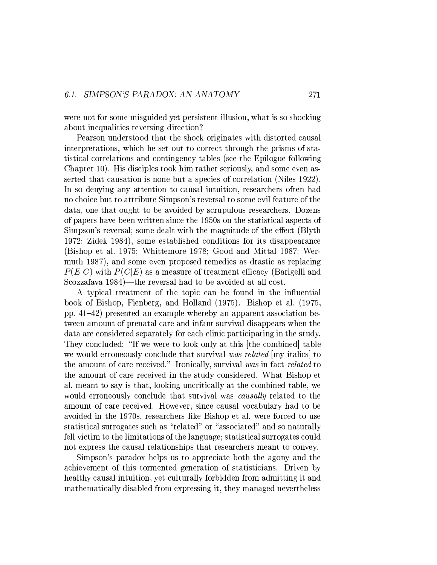were not for some misguided yet persistent illusion, what is so shocking about inequalities reversing direction?

Pearson understood that the shock originates with distorted causal interpretations, which he set out to correct through the prisms of statistical correlations and contingency tables (see the Epilogue following Chapter 10). His disciples took him rather seriously, and some even asserted that causation is none but a species of correlation (Niles 1922). In so denying any attention to causal intuition, researchers often had no choice but to attribute Simpson's reversal to some evil feature of the data, one that ought to be avoided by scrupulous researchers. Dozens of papers have been written since the 1950s on the statistical aspects of Simpson's reversal; some dealt with the magnitude of the effect (Blyth 1972; Zidek 1984), some established conditions for its disappearance (Bishop et al. 1975; Whittemore 1978; Good and Mittal 1987; Wermuth 1987), and some even proposed remedies as drastic as replacing  $P(E|C)$  with  $P(C|E)$  as a measure of treatment efficacy (Barigelli and Scozzafava 1984)—the reversal had to be avoided at all cost.

A typical treatment of the topic can be found in the influential book of Bishop, Fienberg, and Holland (1975). Bishop et al. (1975, pp. 41–42) presented an example whereby an apparent association between amount of prenatal care and infant survival disappears when the data are considered separately for each clinic participating in the study. They concluded: "If we were to look only at this the combined table we would erroneously conclude that survival was related [my italics] to the amount of care received." Ironically, survival was in fact related to the amount of care received in the study considered. What Bishop et al. meant to say is that, looking uncritically at the combined table, we would erroneously conclude that survival was causally related to the amount of care received. However, since causal vocabulary had to be avoided in the 1970s, researchers like Bishop et al. were forced to use statistical surrogates such as "related" or "associated" and so naturally fell victim to the limitations of the language; statistical surrogates could not express the causal relationships that researchers meant to convey.

Simpson's paradox helps us to appreciate both the agony and the achievement of this tormented generation of statisticians. Driven by healthy causal intuition, yet culturally forbidden from admitting it and mathematically disabled from expressing it, they managed nevertheless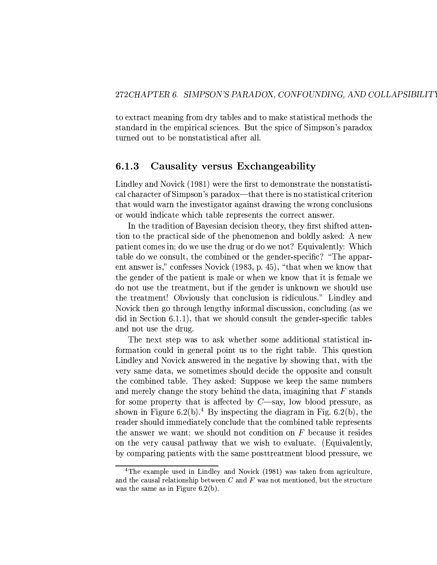to extract meaning from dry tables and to make statistical methods the standard in the empirical sciences. But the spice of Simpson's paradox turned out to be nonstatistical after all.

#### 6.1.3 Causality versus Exchangeability

Lindley and Novick (1981) were the first to demonstrate the nonstatistical character of Simpson's paradox—that there is no statistical criterion that would warn the investigator against drawing the wrong conclusions or would indicate which table represents the correct answer.

In the tradition of Bayesian decision theory, they first shifted attention to the practical side of the phenomenon and boldly asked: A new patient comes in; do we use the drug or do we not? Equivalently: Which table do we consult, the combined or the gender-specific? "The apparent answer is," confesses Novick (1983, p. 45), "that when we know that the gender of the patient is male or when we know that it is female we do not use the treatment, but if the gender is unknown we should use the treatment! Obviously that conclusion is ridiculous." Lindley and Novick then go through lengthy informal discussion, concluding (as we did in Section 6.1.1), that we should consult the gender-specific tables and not use the drug.

The next step was to ask whether some additional statistical information could in general point us to the right table. This question Lindley and Novick answered in the negative by showing that, with the very same data, we sometimes should decide the opposite and consult the combined table. They asked: Suppose we keep the same numbers and merely change the story behind the data, imagining that  $F$  stands for some property that is affected by  $C$ —say, low blood pressure, as shown in Figure 6.2(b).<sup>4</sup> By inspecting the diagram in Fig. 6.2(b), the reader should immediately conclude that the combined table represents the answer we want; we should not condition on  $F$  because it resides on the very causal pathway that we wish to evaluate. (Equivalently, by comparing patients with the same posttreatment blood pressure, we

<sup>&</sup>lt;sup>4</sup>The example used in Lindley and Novick (1981) was taken from agriculture, and the causal relationship between  $C$  and  $F$  was not mentioned, but the structure was the same as in Figure  $6.2(b)$ .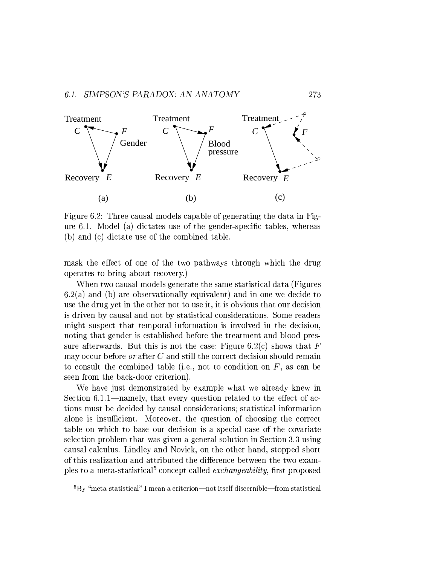

Figure 6.2: Three causal models capable of generating the data in Figure 6.1. Model (a) dictates use of the gender-specific tables, whereas (b) and (c) dictate use of the combined table.

mask the effect of one of the two pathways through which the drug operates to bring about recovery.)

When two causal models generate the same statistical data (Figures  $6.2(a)$  and (b) are observationally equivalent) and in one we decide to use the drug yet in the other not to use it, it is obvious that our decision is driven by causal and not by statistical considerations. Some readers might suspect that temporal information is involved in the decision, noting that gender is established before the treatment and blood pressure afterwards. But this is not the case; Figure 6.2(c) shows that F may occur before or after C and still the correct decision should remain to consult the combined table (i.e., not to condition on  $F$ , as can be seen from the back-door criterion).

We have just demonstrated by example what we already knew in Section 6.1.1—namely, that every question related to the effect of actions must be decided by causal considerations; statistical information alone is insufficient. Moreover, the question of choosing the correct table on which to base our decision is a special case of the covariate selection problem that was given a general solution in Section 3.3 using causal calculus. Lindley and Novick, on the other hand, stopped short of this realization and attributed the difference between the two examples to a meta-statistical<sup>5</sup> concept called *exchangeability*, first proposed

 ${}^{5}$ By "meta-statistical" I mean a criterion—not itself discernible—from statistical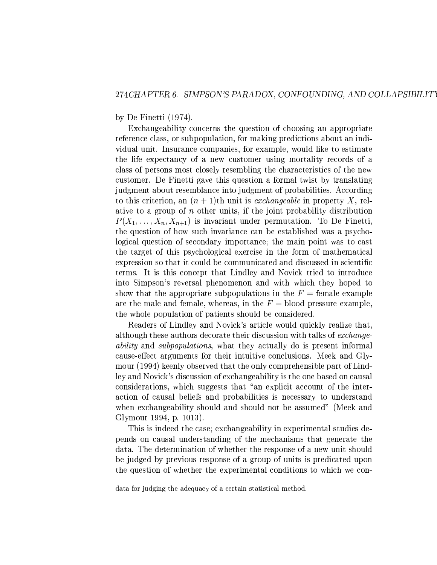# 274CHAPTER 6. SIMPSON'S PARADOX, CONFOUNDING, AND COLLAPSIBILITY

by De Finetti  $(1974)$ .

Exchangeability concerns the question of choosing an appropriate reference class, or subpopulation, for making predictions about an individual unit. Insurance companies, for example, would like to estimate the life expectancy of a new customer using mortality records of a class of persons most closely resembling the characteristics of the new customer. De Finetti gave this question a formal twist by translating judgment about resemblance into judgment of probabilities. According to this criterion, an  $(n + 1)$ th unit is *exchangeable* in property X, relative to a group of  $n$  other units, if the joint probability distribution  $P(X_1, \ldots, X_n, X_{n+1})$  is invariant under permutation. To De Finetti, the question of how such invariance can be established was a psychological question of secondary importance; the main point was to cast the target of this psychological exercise in the form of mathematical expression so that it could be communicated and discussed in scientific terms. It is this concept that Lindley and Novick tried to introduce into Simpson's reversal phenomenon and with which they hoped to show that the appropriate subpopulations in the  $F =$  female example are the male and female, whereas, in the  $F =$  blood pressure example, the whole population of patients should be considered.

Readers of Lindley and Novick's article would quickly realize that, although these authors decorate their discussion with talks of exchange*ability* and *subpopulations*, what they actually do is present informal cause-effect arguments for their intuitive conclusions. Meek and Glymour (1994) keenly observed that the only comprehensible part of Lindley and Novick's discussion of exchangeability is the one based on causal considerations, which suggests that "an explicit account of the interaction of causal beliefs and probabilities is necessary to understand when exchangeability should and should not be assumed" (Meek and Glymour 1994, p. 1013).

This is indeed the case; exchangeability in experimental studies depends on causal understanding of the mechanisms that generate the data. The determination of whether the response of a new unit should be judged by previous response of a group of units is predicated upon the question of whether the experimental conditions to which we con-

data for judging the adequacy of a certain statistical method.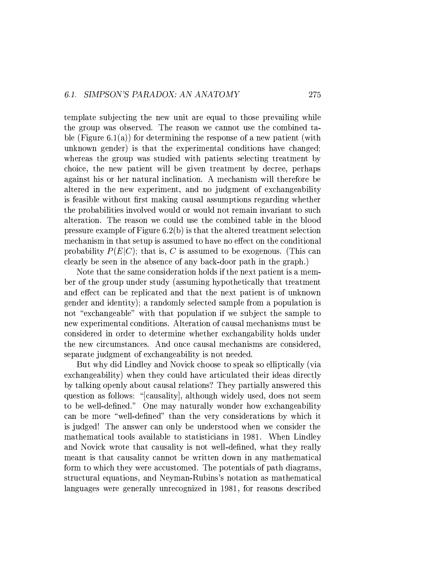template subjecting the new unit are equal to those prevailing while the group was observed. The reason we cannot use the combined table (Figure 6.1(a)) for determining the response of a new patient (with unknown gender) is that the experimental conditions have changed; whereas the group was studied with patients selecting treatment by choice, the new patient will be given treatment by decree, perhaps against his or her natural inclination. A mechanism will therefore be altered in the new experiment, and no judgment of exchangeability is feasible without first making causal assumptions regarding whether the probabilities involved would or would not remain invariant to such alteration. The reason we could use the combined table in the blood pressure example of Figure  $6.2(b)$  is that the altered treatment selection mechanism in that setup is assumed to have no effect on the conditional probability  $P(E|C)$ ; that is, C is assumed to be exogenous. (This can clearly be seen in the absence of any back-door path in the graph.)

Note that the same consideration holds if the next patient is a member of the group under study (assuming hypothetically that treatment and effect can be replicated and that the next patient is of unknown gender and identity); a randomly selected sample from a population is not "exchangeable" with that population if we subject the sample to new experimental conditions. Alteration of causal mechanisms must be considered in order to determine whether exchangability holds under the new circumstances. And once causal mechanisms are considered, separate judgment of exchangeability is not needed.

But why did Lindley and Novick choose to speak so elliptically (via exchangeability) when they could have articulated their ideas directly by talking openly about causal relations? They partially answered this question as follows: "[causality], although widely used, does not seem to be well-defined." One may naturally wonder how exchangeability can be more "well-defined" than the very considerations by which it is judged! The answer can only be understood when we consider the mathematical tools available to statisticians in 1981. When Lindley and Novick wrote that causality is not well-defined, what they really meant is that causality cannot be written down in any mathematical form to which they were accustomed. The potentials of path diagrams, structural equations, and Neyman-Rubins's notation as mathematical languages were generally unrecognized in 1981, for reasons described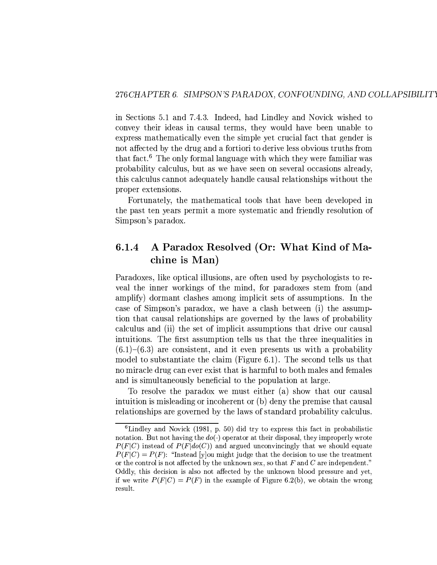in Sections 5.1 and 7.4.3. Indeed, had Lindley and Novick wished to convey their ideas in causal terms, they would have been unable to express mathematically even the simple yet crucial fact that gender is not affected by the drug and a fortiori to derive less obvious truths from that fact.<sup>6</sup> The only formal language with which they were familiar was probability calculus, but as we have seen on several occasions already, this calculus cannot adequately handle causal relationships without the proper extensions.

Fortunately, the mathematical tools that have been developed in the past ten years permit a more systematic and friendly resolution of Simpson's paradox.

### A Paradox Resolved (Or: What Kind of Ma-6.1.4 chine is Man)

Paradoxes, like optical illusions, are often used by psychologists to reveal the inner workings of the mind, for paradoxes stem from (and amplify) dormant clashes among implicit sets of assumptions. In the case of Simpson's paradox, we have a clash between (i) the assumption that causal relationships are governed by the laws of probability calculus and (ii) the set of implicit assumptions that drive our causal intuitions. The first assumption tells us that the three inequalities in  $(6.1)$ – $(6.3)$  are consistent, and it even presents us with a probability model to substantiate the claim (Figure 6.1). The second tells us that no miracle drug can ever exist that is harmful to both males and females and is simultaneously beneficial to the population at large.

To resolve the paradox we must either (a) show that our causal intuition is misleading or incoherent or (b) deny the premise that causal relationships are governed by the laws of standard probability calculus.

 ${}^{6}$ Lindley and Novick (1981, p. 50) did try to express this fact in probabilistic notation. But not having the  $do(\cdot)$  operator at their disposal, they improperly wrote  $P(F|C)$  instead of  $P(F|do(C))$  and argued unconvincingly that we should equate  $P(F|C) = P(F)$ : "Instead [y] ou might judge that the decision to use the treatment or the control is not affected by the unknown sex, so that  $F$  and  $C$  are independent." Oddly, this decision is also not affected by the unknown blood pressure and yet, if we write  $P(F|C) = P(F)$  in the example of Figure 6.2(b), we obtain the wrong result.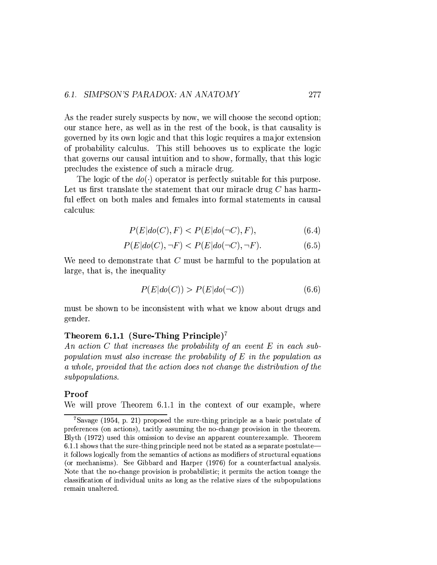As the reader surely suspects by now, we will choose the second option; our stance here, as well as in the rest of the book, is that causality is governed by its own logic and that this logic requires a major extension of probability calculus. This still behooves us to explicate the logic that governs our causal intuition and to show, formally, that this logic precludes the existence of such a miracle drug.

The logic of the  $do(\cdot)$  operator is perfectly suitable for this purpose. Let us first translate the statement that our miracle drug  $C$  has harmful effect on both males and females into formal statements in causal calculus:

$$
P(E|do(C), F) < P(E|do(\neg C), F),\tag{6.4}
$$

$$
P(E|do(C), \neg F) < P(E|do(\neg C), \neg F). \tag{6.5}
$$

We need to demonstrate that  $C$  must be harmful to the population at large, that is, the inequality

$$
P(E|do(C)) > P(E|do(\neg C))
$$
\n(6.6)

must be shown to be inconsistent with what we know about drugs and gender.

### Theorem 6.1.1 (Sure-Thing Principle)<sup>7</sup>

An action C that increases the probability of an event E in each subpopulation must also increase the probability of  $E$  in the population as a whole, provided that the action does not change the distribution of the subpopulations.

### Proof

We will prove Theorem 6.1.1 in the context of our example, where

 $7$ Savage (1954, p. 21) proposed the sure-thing principle as a basic postulate of preferences (on actions), tacitly assuming the no-change provision in the theorem. Blyth (1972) used this omission to devise an apparent counterexample. Theorem 6.1.1 shows that the sure-thing principle need not be stated as a separate postulate it follows logically from the semantics of actions as modifiers of structural equations (or mechanisms). See Gibbard and Harper (1976) for a counterfactual analysis. Note that the no-change provision is probabilistic; it permits the action toange the classification of individual units as long as the relative sizes of the subpopulations remain unaltered.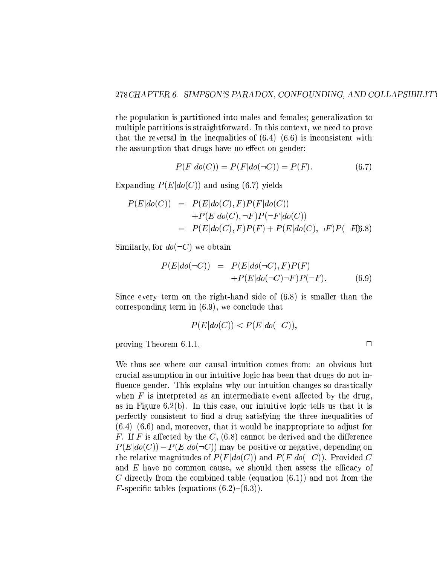the population is partitioned into males and females; generalization to multiple partitions is straightforward. In this context, we need to prove that the reversal in the inequalities of  $(6.4)$ – $(6.6)$  is inconsistent with the assumption that drugs have no effect on gender:

$$
P(F|do(C)) = P(F|do(\neg C)) = P(F).
$$
 (6.7)

Expanding  $P(E|do(C))$  and using (6.7) yields

$$
P(E|do(C)) = P(E|do(C), F)P(F|do(C))
$$
  
+
$$
P(E|do(C), \neg F)P(\neg F|do(C))
$$
  
= 
$$
P(E|do(C), F)P(F) + P(E|do(C), \neg F)P(\neg F(6.8))
$$

Similarly, for  $do(\neg C)$  we obtain

$$
P(E|do(\neg C)) = P(E|do(\neg C), F)P(F)
$$
  
+
$$
P(E|do(\neg C)\neg F)P(\neg F).
$$
 (6.9)

Since every term on the right-hand side of  $(6.8)$  is smaller than the corresponding term in  $(6.9)$ , we conclude that

$$
P(E|do(C)) < P(E|do(\neg C)),
$$

proving Theorem 6.1.1.

We thus see where our causal intuition comes from: an obvious but crucial assumption in our intuitive logic has been that drugs do not influence gender. This explains why our intuition changes so drastically when  $F$  is interpreted as an intermediate event affected by the drug, as in Figure  $6.2(b)$ . In this case, our intuitive logic tells us that it is perfectly consistent to find a drug satisfying the three inequalities of  $(6.4)$ – $(6.6)$  and, moreover, that it would be inappropriate to adjust for F. If F is affected by the C,  $(6.8)$  cannot be derived and the difference  $P(E|do(C)) - P(E|do(\neg C))$  may be positive or negative, depending on the relative magnitudes of  $P(F|do(C))$  and  $P(F|do(\neg C))$ . Provided C and E have no common cause, we should then assess the efficacy of  $C$  directly from the combined table (equation  $(6.1)$ ) and not from the *F*-specific tables (equations  $(6.2)$ – $(6.3)$ ).

 $\Box$